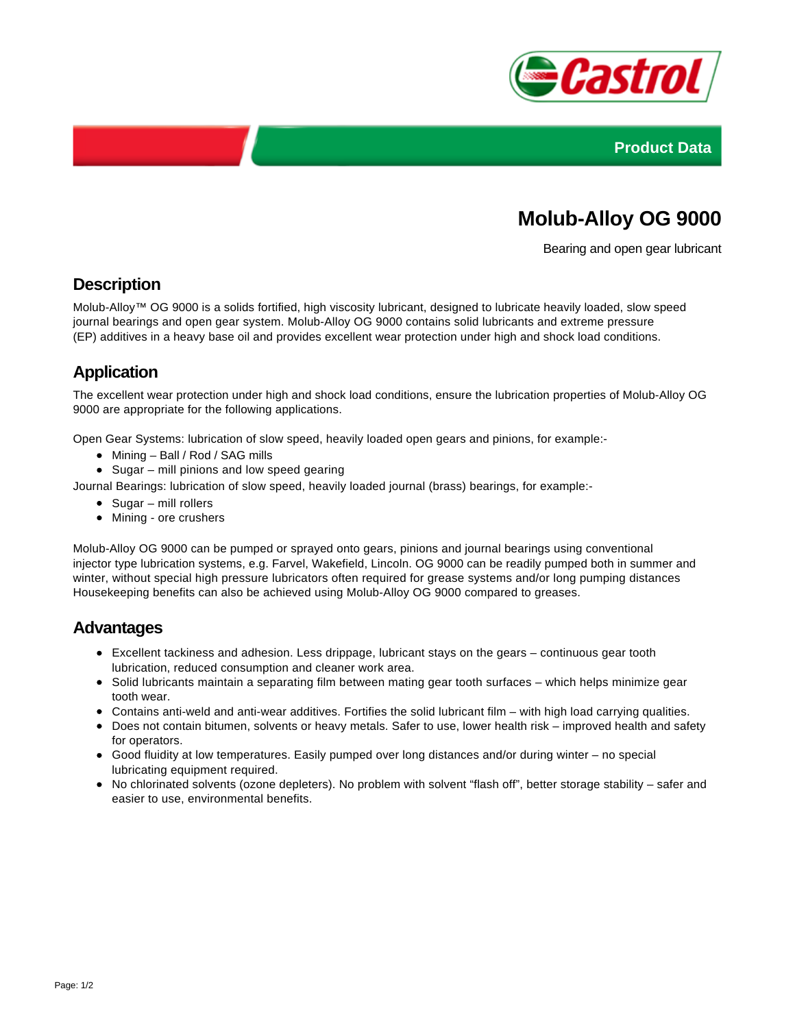



# **Molub-Alloy OG 9000**

Bearing and open gear lubricant

### **Description**

Molub-Alloy™ OG 9000 is a solids fortified, high viscosity lubricant, designed to lubricate heavily loaded, slow speed journal bearings and open gear system. Molub-Alloy OG 9000 contains solid lubricants and extreme pressure (EP) additives in a heavy base oil and provides excellent wear protection under high and shock load conditions.

# **Application**

The excellent wear protection under high and shock load conditions, ensure the lubrication properties of Molub-Alloy OG 9000 are appropriate for the following applications.

Open Gear Systems: lubrication of slow speed, heavily loaded open gears and pinions, for example:-

- Mining Ball / Rod / SAG mills
- $\bullet$  Sugar mill pinions and low speed gearing
- Journal Bearings: lubrication of slow speed, heavily loaded journal (brass) bearings, for example:-
	- Sugar mill rollers
	- Mining ore crushers

Molub-Alloy OG 9000 can be pumped or sprayed onto gears, pinions and journal bearings using conventional injector type lubrication systems, e.g. Farvel, Wakefield, Lincoln. OG 9000 can be readily pumped both in summer and winter, without special high pressure lubricators often required for grease systems and/or long pumping distances Housekeeping benefits can also be achieved using Molub-Alloy OG 9000 compared to greases.

#### **Advantages**

- Excellent tackiness and adhesion. Less drippage, lubricant stays on the gears continuous gear tooth lubrication, reduced consumption and cleaner work area.
- Solid lubricants maintain a separating film between mating gear tooth surfaces which helps minimize gear tooth wear.
- Contains anti-weld and anti-wear additives. Fortifies the solid lubricant film with high load carrying qualities.
- Does not contain bitumen, solvents or heavy metals. Safer to use, lower health risk improved health and safety for operators.
- Good fluidity at low temperatures. Easily pumped over long distances and/or during winter no special lubricating equipment required.
- No chlorinated solvents (ozone depleters). No problem with solvent "flash off", better storage stability safer and easier to use, environmental benefits.